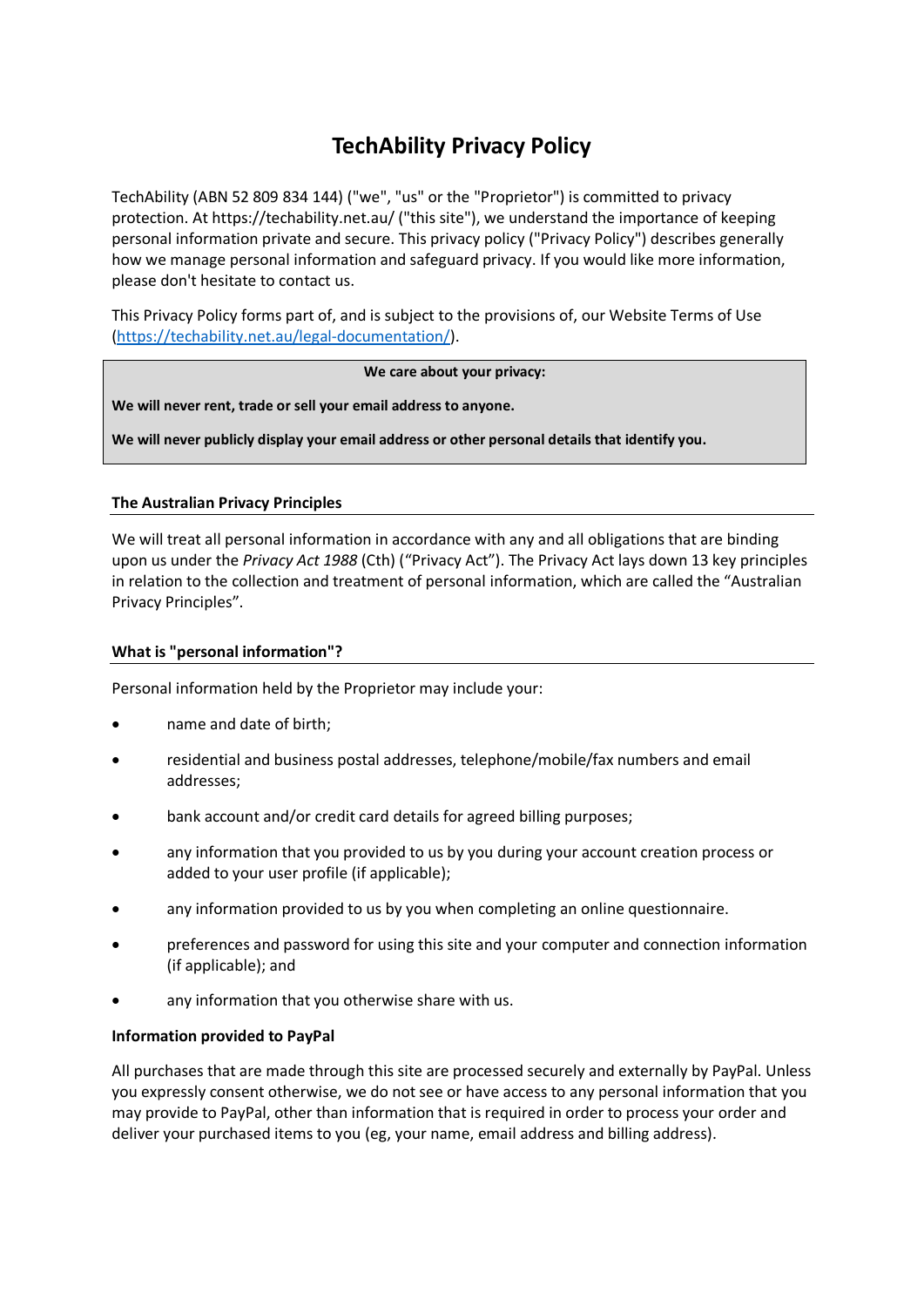# **TechAbility Privacy Policy**

TechAbility (ABN 52 809 834 144) ("we", "us" or the "Proprietor") is committed to privacy protection. At https://techability.net.au/ ("this site"), we understand the importance of keeping personal information private and secure. This privacy policy ("Privacy Policy") describes generally how we manage personal information and safeguard privacy. If you would like more information, please don't hesitate to contact us.

This Privacy Policy forms part of, and is subject to the provisions of, our Website Terms of Use [\(https://techability.net.au/legal-documentation/\)](https://techability.net.au/legal-documentation/).

## **We care about your privacy:**

**We will never rent, trade or sell your email address to anyone.**

**We will never publicly display your email address or other personal details that identify you.**

## **The Australian Privacy Principles**

We will treat all personal information in accordance with any and all obligations that are binding upon us under the *Privacy Act 1988* (Cth) ("Privacy Act"). The Privacy Act lays down 13 key principles in relation to the collection and treatment of personal information, which are called the "Australian Privacy Principles".

## **What is "personal information"?**

Personal information held by the Proprietor may include your:

- name and date of birth;
- residential and business postal addresses, telephone/mobile/fax numbers and email addresses;
- bank account and/or credit card details for agreed billing purposes;
- any information that you provided to us by you during your account creation process or added to your user profile (if applicable);
- any information provided to us by you when completing an online questionnaire.
- preferences and password for using this site and your computer and connection information (if applicable); and
- any information that you otherwise share with us.

## **Information provided to PayPal**

All purchases that are made through this site are processed securely and externally by PayPal. Unless you expressly consent otherwise, we do not see or have access to any personal information that you may provide to PayPal, other than information that is required in order to process your order and deliver your purchased items to you (eg, your name, email address and billing address).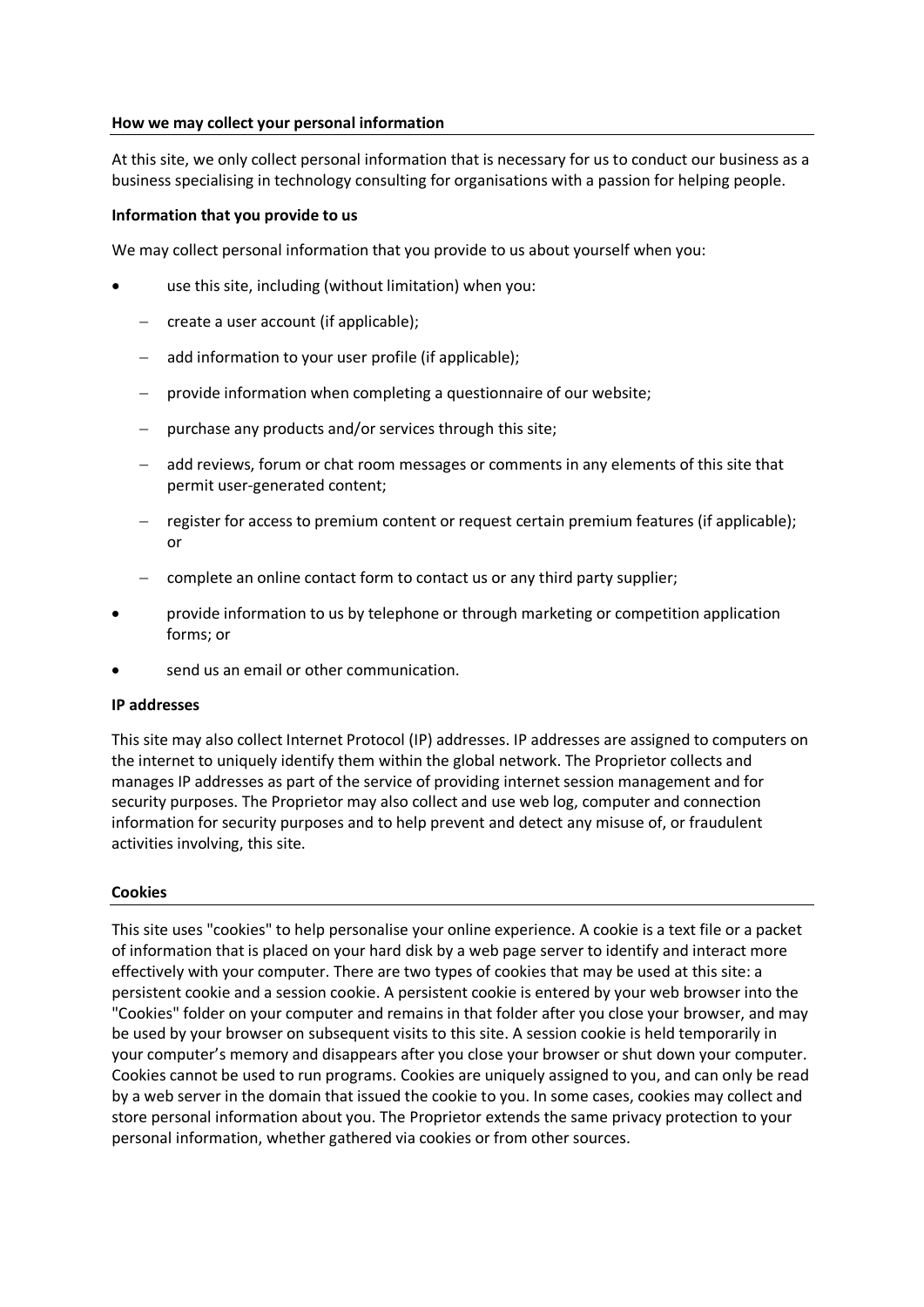#### **How we may collect your personal information**

At this site, we only collect personal information that is necessary for us to conduct our business as a business specialising in technology consulting for organisations with a passion for helping people.

#### **Information that you provide to us**

We may collect personal information that you provide to us about yourself when you:

- use this site, including (without limitation) when you:
	- − create a user account (if applicable);
	- − add information to your user profile (if applicable);
	- − provide information when completing a questionnaire of our website;
	- purchase any products and/or services through this site;
	- − add reviews, forum or chat room messages or comments in any elements of this site that permit user-generated content;
	- − register for access to premium content or request certain premium features (if applicable); or
	- − complete an online contact form to contact us or any third party supplier;
- provide information to us by telephone or through marketing or competition application forms; or
- send us an email or other communication.

#### **IP addresses**

This site may also collect Internet Protocol (IP) addresses. IP addresses are assigned to computers on the internet to uniquely identify them within the global network. The Proprietor collects and manages IP addresses as part of the service of providing internet session management and for security purposes. The Proprietor may also collect and use web log, computer and connection information for security purposes and to help prevent and detect any misuse of, or fraudulent activities involving, this site.

#### **Cookies**

This site uses "cookies" to help personalise your online experience. A cookie is a text file or a packet of information that is placed on your hard disk by a web page server to identify and interact more effectively with your computer. There are two types of cookies that may be used at this site: a persistent cookie and a session cookie. A persistent cookie is entered by your web browser into the "Cookies" folder on your computer and remains in that folder after you close your browser, and may be used by your browser on subsequent visits to this site. A session cookie is held temporarily in your computer's memory and disappears after you close your browser or shut down your computer. Cookies cannot be used to run programs. Cookies are uniquely assigned to you, and can only be read by a web server in the domain that issued the cookie to you. In some cases, cookies may collect and store personal information about you. The Proprietor extends the same privacy protection to your personal information, whether gathered via cookies or from other sources.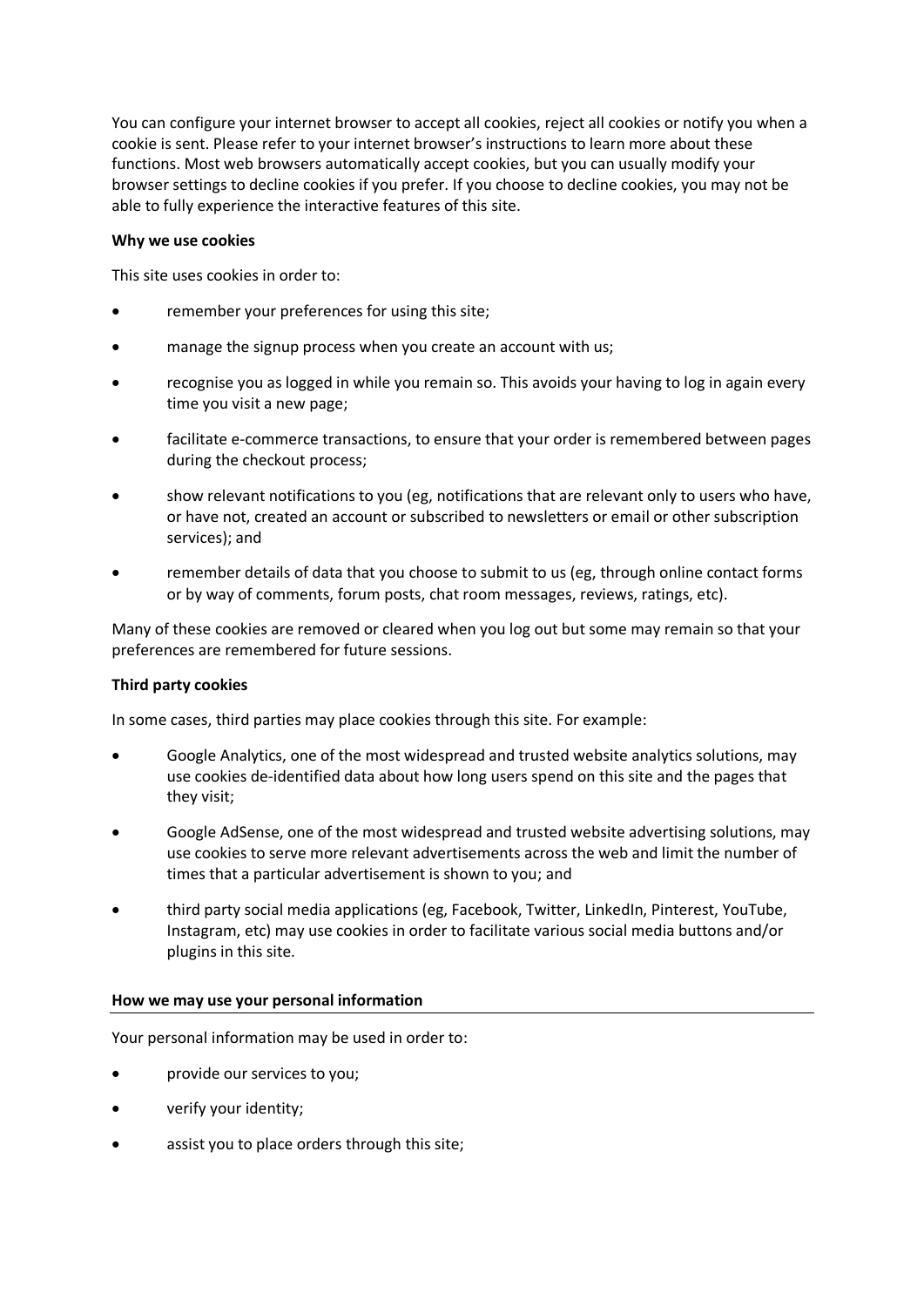You can configure your internet browser to accept all cookies, reject all cookies or notify you when a cookie is sent. Please refer to your internet browser's instructions to learn more about these functions. Most web browsers automatically accept cookies, but you can usually modify your browser settings to decline cookies if you prefer. If you choose to decline cookies, you may not be able to fully experience the interactive features of this site.

## **Why we use cookies**

This site uses cookies in order to:

- remember your preferences for using this site;
- manage the signup process when you create an account with us;
- recognise you as logged in while you remain so. This avoids your having to log in again every time you visit a new page;
- facilitate e-commerce transactions, to ensure that your order is remembered between pages during the checkout process;
- show relevant notifications to you (eg, notifications that are relevant only to users who have, or have not, created an account or subscribed to newsletters or email or other subscription services); and
- remember details of data that you choose to submit to us (eg, through online contact forms or by way of comments, forum posts, chat room messages, reviews, ratings, etc).

Many of these cookies are removed or cleared when you log out but some may remain so that your preferences are remembered for future sessions.

# **Third party cookies**

In some cases, third parties may place cookies through this site. For example:

- Google Analytics, one of the most widespread and trusted website analytics solutions, may use cookies de-identified data about how long users spend on this site and the pages that they visit;
- Google AdSense, one of the most widespread and trusted website advertising solutions, may use cookies to serve more relevant advertisements across the web and limit the number of times that a particular advertisement is shown to you; and
- third party social media applications (eg, Facebook, Twitter, LinkedIn, Pinterest, YouTube, Instagram, etc) may use cookies in order to facilitate various social media buttons and/or plugins in this site.

## **How we may use your personal information**

Your personal information may be used in order to:

- provide our services to you;
- verify your identity;
- assist you to place orders through this site;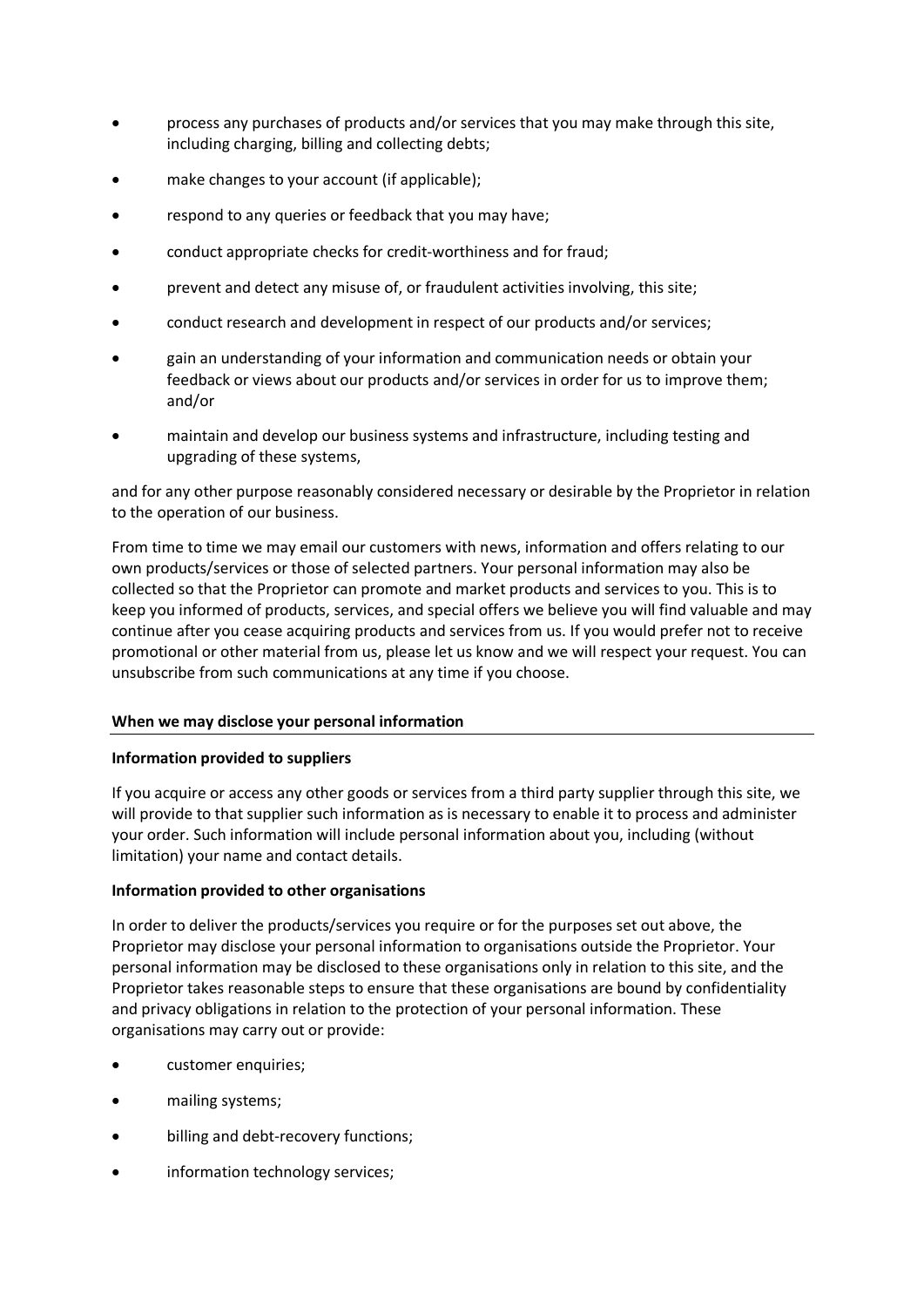- process any purchases of products and/or services that you may make through this site, including charging, billing and collecting debts;
- make changes to your account (if applicable);
- respond to any queries or feedback that you may have;
- conduct appropriate checks for credit-worthiness and for fraud;
- prevent and detect any misuse of, or fraudulent activities involving, this site;
- conduct research and development in respect of our products and/or services;
- gain an understanding of your information and communication needs or obtain your feedback or views about our products and/or services in order for us to improve them; and/or
- maintain and develop our business systems and infrastructure, including testing and upgrading of these systems,

and for any other purpose reasonably considered necessary or desirable by the Proprietor in relation to the operation of our business.

From time to time we may email our customers with news, information and offers relating to our own products/services or those of selected partners. Your personal information may also be collected so that the Proprietor can promote and market products and services to you. This is to keep you informed of products, services, and special offers we believe you will find valuable and may continue after you cease acquiring products and services from us. If you would prefer not to receive promotional or other material from us, please let us know and we will respect your request. You can unsubscribe from such communications at any time if you choose.

## **When we may disclose your personal information**

## **Information provided to suppliers**

If you acquire or access any other goods or services from a third party supplier through this site, we will provide to that supplier such information as is necessary to enable it to process and administer your order. Such information will include personal information about you, including (without limitation) your name and contact details.

## **Information provided to other organisations**

In order to deliver the products/services you require or for the purposes set out above, the Proprietor may disclose your personal information to organisations outside the Proprietor. Your personal information may be disclosed to these organisations only in relation to this site, and the Proprietor takes reasonable steps to ensure that these organisations are bound by confidentiality and privacy obligations in relation to the protection of your personal information. These organisations may carry out or provide:

- customer enquiries;
- mailing systems;
- billing and debt-recovery functions;
- information technology services;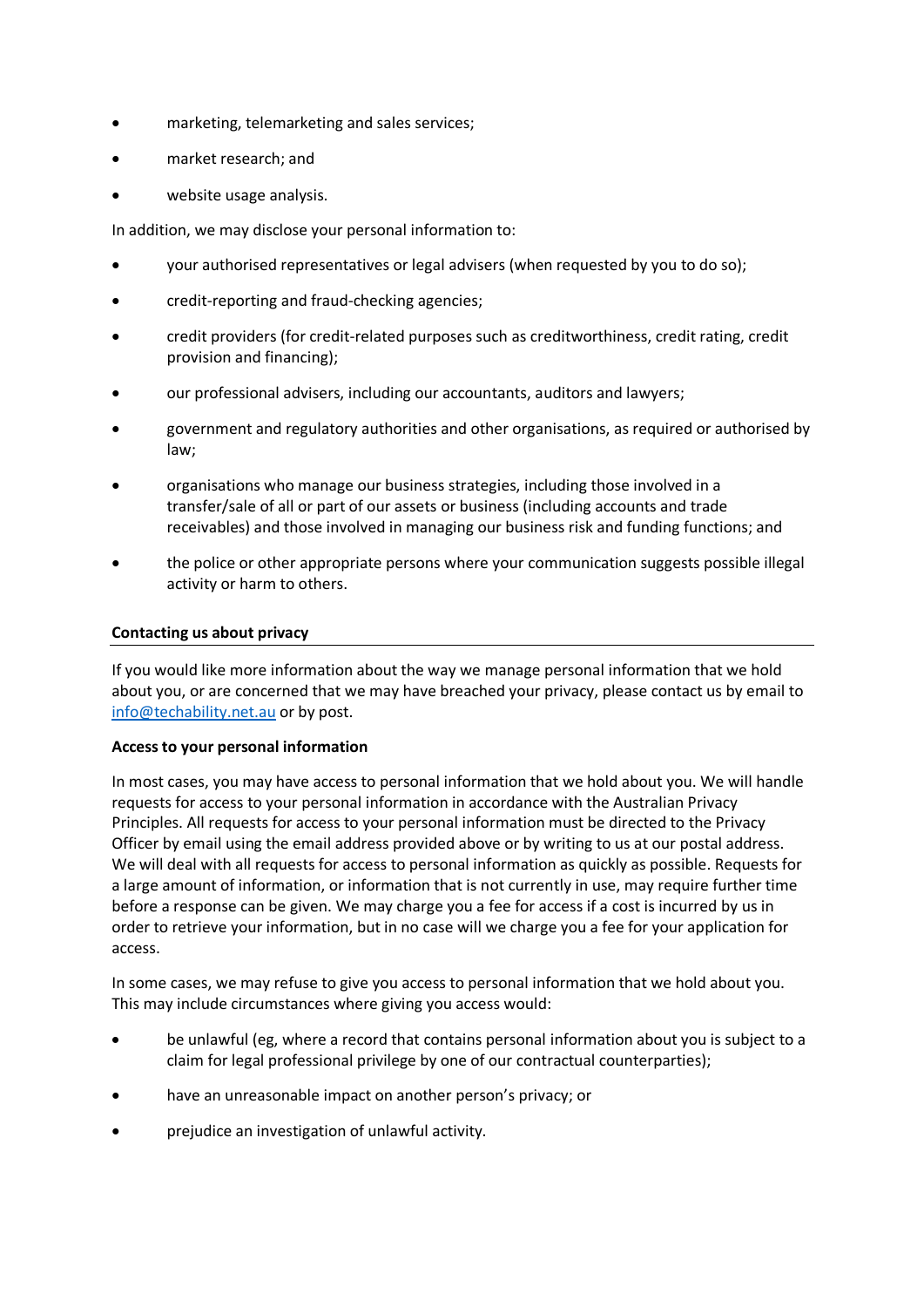- marketing, telemarketing and sales services;
- market research; and
- website usage analysis.

In addition, we may disclose your personal information to:

- your authorised representatives or legal advisers (when requested by you to do so);
- credit-reporting and fraud-checking agencies;
- credit providers (for credit-related purposes such as creditworthiness, credit rating, credit provision and financing);
- our professional advisers, including our accountants, auditors and lawyers;
- government and regulatory authorities and other organisations, as required or authorised by law;
- organisations who manage our business strategies, including those involved in a transfer/sale of all or part of our assets or business (including accounts and trade receivables) and those involved in managing our business risk and funding functions; and
- the police or other appropriate persons where your communication suggests possible illegal activity or harm to others.

## **Contacting us about privacy**

If you would like more information about the way we manage personal information that we hold about you, or are concerned that we may have breached your privacy, please contact us by email to [info@techability.net.au](mailto:info@techability.net.au) or by post.

## **Access to your personal information**

In most cases, you may have access to personal information that we hold about you. We will handle requests for access to your personal information in accordance with the Australian Privacy Principles. All requests for access to your personal information must be directed to the Privacy Officer by email using the email address provided above or by writing to us at our postal address. We will deal with all requests for access to personal information as quickly as possible. Requests for a large amount of information, or information that is not currently in use, may require further time before a response can be given. We may charge you a fee for access if a cost is incurred by us in order to retrieve your information, but in no case will we charge you a fee for your application for access.

In some cases, we may refuse to give you access to personal information that we hold about you. This may include circumstances where giving you access would:

- be unlawful (eg, where a record that contains personal information about you is subject to a claim for legal professional privilege by one of our contractual counterparties);
- have an unreasonable impact on another person's privacy; or
- prejudice an investigation of unlawful activity.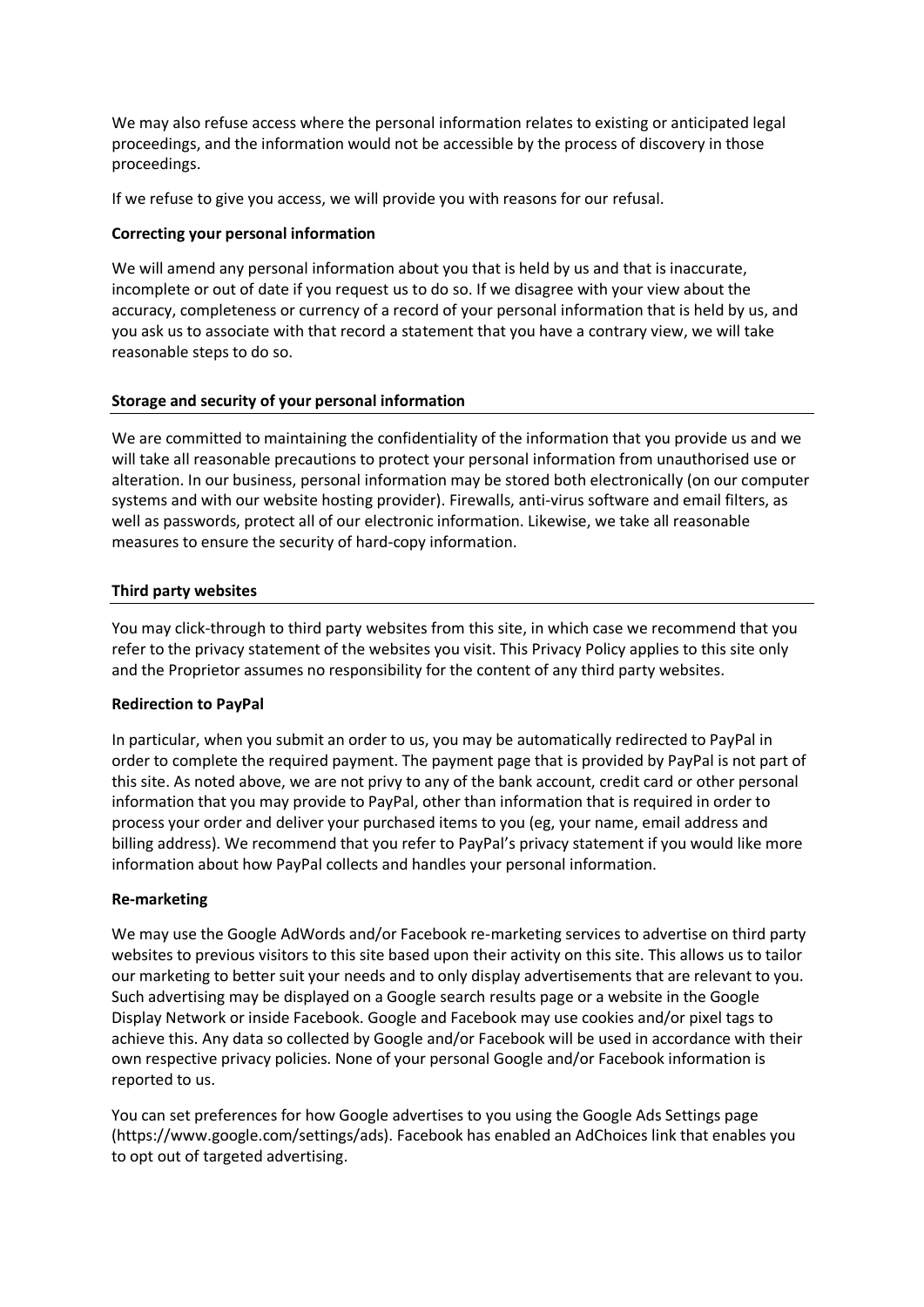We may also refuse access where the personal information relates to existing or anticipated legal proceedings, and the information would not be accessible by the process of discovery in those proceedings.

If we refuse to give you access, we will provide you with reasons for our refusal.

# **Correcting your personal information**

We will amend any personal information about you that is held by us and that is inaccurate, incomplete or out of date if you request us to do so. If we disagree with your view about the accuracy, completeness or currency of a record of your personal information that is held by us, and you ask us to associate with that record a statement that you have a contrary view, we will take reasonable steps to do so.

# **Storage and security of your personal information**

We are committed to maintaining the confidentiality of the information that you provide us and we will take all reasonable precautions to protect your personal information from unauthorised use or alteration. In our business, personal information may be stored both electronically (on our computer systems and with our website hosting provider). Firewalls, anti-virus software and email filters, as well as passwords, protect all of our electronic information. Likewise, we take all reasonable measures to ensure the security of hard-copy information.

# **Third party websites**

You may click-through to third party websites from this site, in which case we recommend that you refer to the privacy statement of the websites you visit. This Privacy Policy applies to this site only and the Proprietor assumes no responsibility for the content of any third party websites.

## **Redirection to PayPal**

In particular, when you submit an order to us, you may be automatically redirected to PayPal in order to complete the required payment. The payment page that is provided by PayPal is not part of this site. As noted above, we are not privy to any of the bank account, credit card or other personal information that you may provide to PayPal, other than information that is required in order to process your order and deliver your purchased items to you (eg, your name, email address and billing address). We recommend that you refer to PayPal's privacy statement if you would like more information about how PayPal collects and handles your personal information.

## **Re-marketing**

We may use the Google AdWords and/or Facebook re-marketing services to advertise on third party websites to previous visitors to this site based upon their activity on this site. This allows us to tailor our marketing to better suit your needs and to only display advertisements that are relevant to you. Such advertising may be displayed on a Google search results page or a website in the Google Display Network or inside Facebook. Google and Facebook may use cookies and/or pixel tags to achieve this. Any data so collected by Google and/or Facebook will be used in accordance with their own respective privacy policies. None of your personal Google and/or Facebook information is reported to us.

You can set preferences for how Google advertises to you using the Google Ads Settings page (https://www.google.com/settings/ads). Facebook has enabled an AdChoices link that enables you to opt out of targeted advertising.